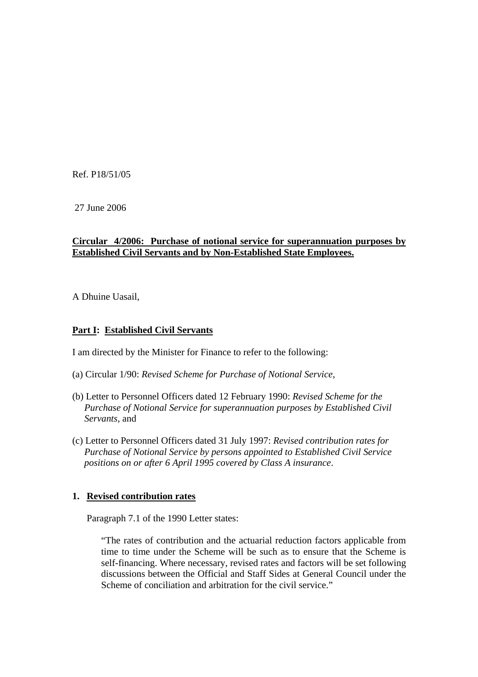Ref. P18/51/05

27 June 2006

## **Circular 4/2006: Purchase of notional service for superannuation purposes by Established Civil Servants and by Non-Established State Employees.**

A Dhuine Uasail,

## **Part I: Established Civil Servants**

I am directed by the Minister for Finance to refer to the following:

- (a) Circular 1/90: *Revised Scheme for Purchase of Notional Service*,
- (b) Letter to Personnel Officers dated 12 February 1990: *Revised Scheme for the Purchase of Notional Service for superannuation purposes by Established Civil Servants,* and
- (c) Letter to Personnel Officers dated 31 July 1997: *Revised contribution rates for Purchase of Notional Service by persons appointed to Established Civil Service positions on or after 6 April 1995 covered by Class A insurance*.

## **1. Revised contribution rates**

Paragraph 7.1 of the 1990 Letter states:

"The rates of contribution and the actuarial reduction factors applicable from time to time under the Scheme will be such as to ensure that the Scheme is self-financing. Where necessary, revised rates and factors will be set following discussions between the Official and Staff Sides at General Council under the Scheme of conciliation and arbitration for the civil service."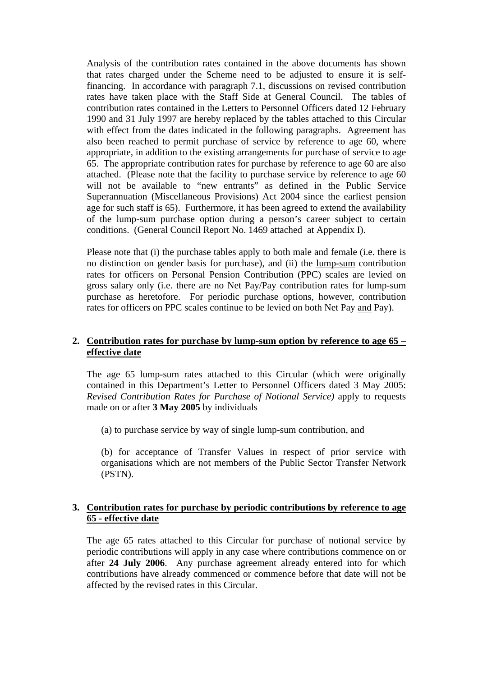Analysis of the contribution rates contained in the above documents has shown that rates charged under the Scheme need to be adjusted to ensure it is selffinancing. In accordance with paragraph 7.1, discussions on revised contribution rates have taken place with the Staff Side at General Council. The tables of contribution rates contained in the Letters to Personnel Officers dated 12 February 1990 and 31 July 1997 are hereby replaced by the tables attached to this Circular with effect from the dates indicated in the following paragraphs. Agreement has also been reached to permit purchase of service by reference to age 60, where appropriate, in addition to the existing arrangements for purchase of service to age 65. The appropriate contribution rates for purchase by reference to age 60 are also attached. (Please note that the facility to purchase service by reference to age 60 will not be available to "new entrants" as defined in the Public Service Superannuation (Miscellaneous Provisions) Act 2004 since the earliest pension age for such staff is 65). Furthermore, it has been agreed to extend the availability of the lump-sum purchase option during a person's career subject to certain conditions. (General Council Report No. 1469 attached at Appendix I).

Please note that (i) the purchase tables apply to both male and female (i.e. there is no distinction on gender basis for purchase), and (ii) the lump-sum contribution rates for officers on Personal Pension Contribution (PPC) scales are levied on gross salary only (i.e. there are no Net Pay/Pay contribution rates for lump-sum purchase as heretofore. For periodic purchase options, however, contribution rates for officers on PPC scales continue to be levied on both Net Pay and Pay).

## **2. Contribution rates for purchase by lump-sum option by reference to age 65 – effective date**

The age 65 lump-sum rates attached to this Circular (which were originally contained in this Department's Letter to Personnel Officers dated 3 May 2005: *Revised Contribution Rates for Purchase of Notional Service)* apply to requests made on or after **3 May 2005** by individuals

(a) to purchase service by way of single lump-sum contribution, and

 (b) for acceptance of Transfer Values in respect of prior service with organisations which are not members of the Public Sector Transfer Network (PSTN).

### **3. Contribution rates for purchase by periodic contributions by reference to age 65 - effective date**

The age 65 rates attached to this Circular for purchase of notional service by periodic contributions will apply in any case where contributions commence on or after **24 July 2006**. Any purchase agreement already entered into for which contributions have already commenced or commence before that date will not be affected by the revised rates in this Circular.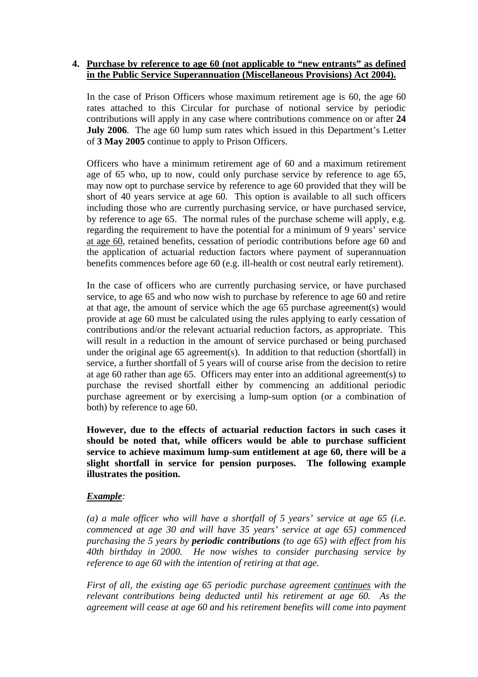## **4. Purchase by reference to age 60 (not applicable to "new entrants" as defined in the Public Service Superannuation (Miscellaneous Provisions) Act 2004).**

In the case of Prison Officers whose maximum retirement age is 60, the age 60 rates attached to this Circular for purchase of notional service by periodic contributions will apply in any case where contributions commence on or after **24 July 2006**. The age 60 lump sum rates which issued in this Department's Letter of **3 May 2005** continue to apply to Prison Officers.

Officers who have a minimum retirement age of 60 and a maximum retirement age of 65 who, up to now, could only purchase service by reference to age 65, may now opt to purchase service by reference to age 60 provided that they will be short of 40 years service at age 60. This option is available to all such officers including those who are currently purchasing service, or have purchased service, by reference to age 65. The normal rules of the purchase scheme will apply, e.g. regarding the requirement to have the potential for a minimum of 9 years' service at age 60, retained benefits, cessation of periodic contributions before age 60 and the application of actuarial reduction factors where payment of superannuation benefits commences before age 60 (e.g. ill-health or cost neutral early retirement).

In the case of officers who are currently purchasing service, or have purchased service, to age 65 and who now wish to purchase by reference to age 60 and retire at that age, the amount of service which the age 65 purchase agreement(s) would provide at age 60 must be calculated using the rules applying to early cessation of contributions and/or the relevant actuarial reduction factors, as appropriate. This will result in a reduction in the amount of service purchased or being purchased under the original age 65 agreement(s). In addition to that reduction (shortfall) in service, a further shortfall of 5 years will of course arise from the decision to retire at age 60 rather than age 65. Officers may enter into an additional agreement(s) to purchase the revised shortfall either by commencing an additional periodic purchase agreement or by exercising a lump-sum option (or a combination of both) by reference to age 60.

**However, due to the effects of actuarial reduction factors in such cases it should be noted that, while officers would be able to purchase sufficient service to achieve maximum lump-sum entitlement at age 60, there will be a slight shortfall in service for pension purposes. The following example illustrates the position.** 

## *Example:*

*(a) a male officer who will have a shortfall of 5 years' service at age 65 (i.e. commenced at age 30 and will have 35 years' service at age 65) commenced purchasing the 5 years by periodic contributions (to age 65) with effect from his 40th birthday in 2000. He now wishes to consider purchasing service by reference to age 60 with the intention of retiring at that age.* 

*First of all, the existing age 65 periodic purchase agreement continues with the relevant contributions being deducted until his retirement at age 60. As the agreement will cease at age 60 and his retirement benefits will come into payment*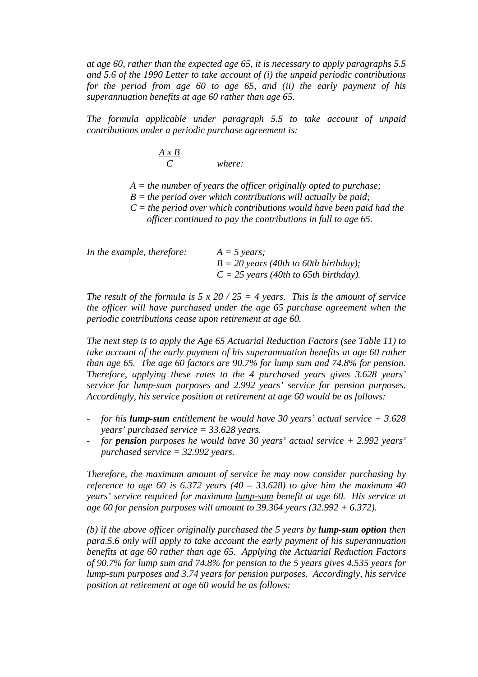*at age 60, rather than the expected age 65, it is necessary to apply paragraphs 5.5 and 5.6 of the 1990 Letter to take account of (i) the unpaid periodic contributions for the period from age 60 to age 65, and (ii) the early payment of his superannuation benefits at age 60 rather than age 65.* 

*The formula applicable under paragraph 5.5 to take account of unpaid contributions under a periodic purchase agreement is:* 

$$
\frac{A \times B}{C}
$$
 where:

- *A = the number of years the officer originally opted to purchase;*
- *B = the period over which contributions will actually be paid;*
- *C = the period over which contributions would have been paid had the officer continued to pay the contributions in full to age 65.*

| In the example, therefore: | $A = 5$ years;                          |
|----------------------------|-----------------------------------------|
|                            | $B = 20$ years (40th to 60th birthday); |
|                            | $C = 25$ years (40th to 65th birthday). |

*The result of the formula is*  $5 \times 20 / 25 = 4$  *years. This is the amount of service the officer will have purchased under the age 65 purchase agreement when the periodic contributions cease upon retirement at age 60.* 

*The next step is to apply the Age 65 Actuarial Reduction Factors (see Table 11) to take account of the early payment of his superannuation benefits at age 60 rather than age 65. The age 60 factors are 90.7% for lump sum and 74.8% for pension. Therefore, applying these rates to the 4 purchased years gives 3.628 years' service for lump-sum purposes and 2.992 years' service for pension purposes. Accordingly, his service position at retirement at age 60 would be as follows:* 

- *for his lump-sum entitlement he would have 30 years' actual service + 3.628 years' purchased service = 33.628 years.*
- *for pension purposes he would have 30 years' actual service + 2.992 years' purchased service = 32.992 years.*

*Therefore, the maximum amount of service he may now consider purchasing by reference to age 60 is 6.372 years (40 – 33.628) to give him the maximum 40 years' service required for maximum lump-sum benefit at age 60. His service at age 60 for pension purposes will amount to 39.364 years (32.992 + 6.372).* 

*(b) if the above officer originally purchased the 5 years by lump-sum option then para.5.6 only will apply to take account the early payment of his superannuation benefits at age 60 rather than age 65. Applying the Actuarial Reduction Factors of 90.7% for lump sum and 74.8% for pension to the 5 years gives 4.535 years for lump-sum purposes and 3.74 years for pension purposes. Accordingly, his service position at retirement at age 60 would be as follows:*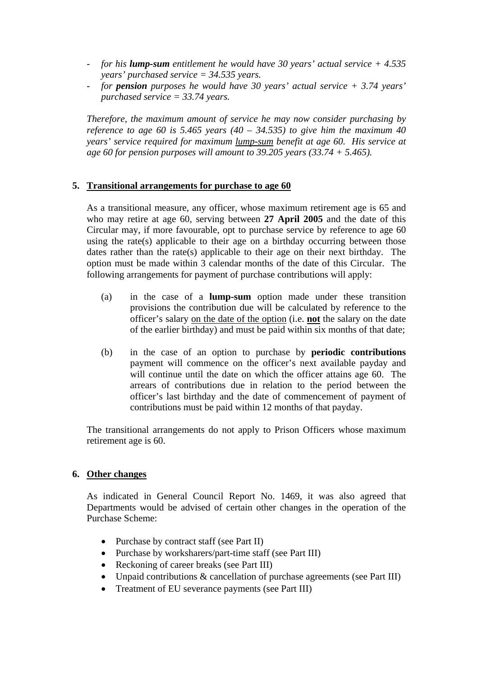- *for his lump-sum entitlement he would have 30 years' actual service + 4.535 years' purchased service = 34.535 years.*
- *for pension purposes he would have 30 years' actual service + 3.74 years' purchased service = 33.74 years.*

*Therefore, the maximum amount of service he may now consider purchasing by reference to age 60 is 5.465 years (40 – 34.535) to give him the maximum 40 years' service required for maximum lump-sum benefit at age 60. His service at age 60 for pension purposes will amount to 39.205 years (33.74 + 5.465).*

## **5. Transitional arrangements for purchase to age 60**

As a transitional measure, any officer, whose maximum retirement age is 65 and who may retire at age 60, serving between **27 April 2005** and the date of this Circular may, if more favourable, opt to purchase service by reference to age 60 using the rate(s) applicable to their age on a birthday occurring between those dates rather than the rate(s) applicable to their age on their next birthday. The option must be made within 3 calendar months of the date of this Circular. The following arrangements for payment of purchase contributions will apply:

- (a) in the case of a **lump-sum** option made under these transition provisions the contribution due will be calculated by reference to the officer's salary on the date of the option (i.e. **not** the salary on the date of the earlier birthday) and must be paid within six months of that date;
- (b) in the case of an option to purchase by **periodic contributions** payment will commence on the officer's next available payday and will continue until the date on which the officer attains age 60. The arrears of contributions due in relation to the period between the officer's last birthday and the date of commencement of payment of contributions must be paid within 12 months of that payday.

The transitional arrangements do not apply to Prison Officers whose maximum retirement age is 60.

### **6. Other changes**

As indicated in General Council Report No. 1469, it was also agreed that Departments would be advised of certain other changes in the operation of the Purchase Scheme:

- Purchase by contract staff (see Part II)
- Purchase by worksharers/part-time staff (see Part III)
- Reckoning of career breaks (see Part III)
- Unpaid contributions & cancellation of purchase agreements (see Part III)
- Treatment of EU severance payments (see Part III)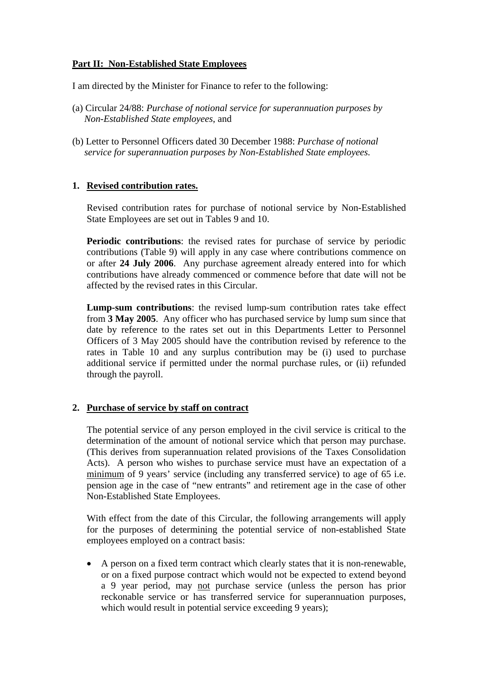## **Part II: Non-Established State Employees**

I am directed by the Minister for Finance to refer to the following:

- (a) Circular 24/88: *Purchase of notional service for superannuation purposes by Non-Established State employees*, and
- (b) Letter to Personnel Officers dated 30 December 1988: *Purchase of notional service for superannuation purposes by Non-Established State employees.*

## **1. Revised contribution rates.**

Revised contribution rates for purchase of notional service by Non-Established State Employees are set out in Tables 9 and 10.

**Periodic contributions**: the revised rates for purchase of service by periodic contributions (Table 9) will apply in any case where contributions commence on or after **24 July 2006**. Any purchase agreement already entered into for which contributions have already commenced or commence before that date will not be affected by the revised rates in this Circular.

**Lump-sum contributions**: the revised lump-sum contribution rates take effect from **3 May 2005**. Any officer who has purchased service by lump sum since that date by reference to the rates set out in this Departments Letter to Personnel Officers of 3 May 2005 should have the contribution revised by reference to the rates in Table 10 and any surplus contribution may be (i) used to purchase additional service if permitted under the normal purchase rules, or (ii) refunded through the payroll.

## **2. Purchase of service by staff on contract**

The potential service of any person employed in the civil service is critical to the determination of the amount of notional service which that person may purchase. (This derives from superannuation related provisions of the Taxes Consolidation Acts). A person who wishes to purchase service must have an expectation of a minimum of 9 years' service (including any transferred service) to age of 65 i.e. pension age in the case of "new entrants" and retirement age in the case of other Non-Established State Employees.

With effect from the date of this Circular, the following arrangements will apply for the purposes of determining the potential service of non-established State employees employed on a contract basis:

• A person on a fixed term contract which clearly states that it is non-renewable, or on a fixed purpose contract which would not be expected to extend beyond a 9 year period, may not purchase service (unless the person has prior reckonable service or has transferred service for superannuation purposes, which would result in potential service exceeding 9 years);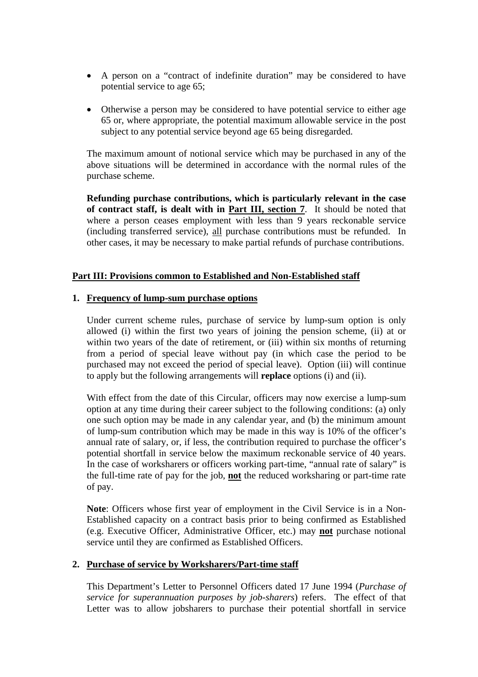- A person on a "contract of indefinite duration" may be considered to have potential service to age 65;
- Otherwise a person may be considered to have potential service to either age 65 or, where appropriate, the potential maximum allowable service in the post subject to any potential service beyond age 65 being disregarded.

The maximum amount of notional service which may be purchased in any of the above situations will be determined in accordance with the normal rules of the purchase scheme.

**Refunding purchase contributions, which is particularly relevant in the case of contract staff, is dealt with in Part III, section 7**. It should be noted that where a person ceases employment with less than 9 years reckonable service (including transferred service), all purchase contributions must be refunded. In other cases, it may be necessary to make partial refunds of purchase contributions.

## **Part III: Provisions common to Established and Non-Established staff**

### **1. Frequency of lump-sum purchase options**

Under current scheme rules, purchase of service by lump-sum option is only allowed (i) within the first two years of joining the pension scheme, (ii) at or within two years of the date of retirement, or (iii) within six months of returning from a period of special leave without pay (in which case the period to be purchased may not exceed the period of special leave). Option (iii) will continue to apply but the following arrangements will **replace** options (i) and (ii).

With effect from the date of this Circular, officers may now exercise a lump-sum option at any time during their career subject to the following conditions: (a) only one such option may be made in any calendar year, and (b) the minimum amount of lump-sum contribution which may be made in this way is 10% of the officer's annual rate of salary, or, if less, the contribution required to purchase the officer's potential shortfall in service below the maximum reckonable service of 40 years. In the case of worksharers or officers working part-time, "annual rate of salary" is the full-time rate of pay for the job, **not** the reduced worksharing or part-time rate of pay.

**Note**: Officers whose first year of employment in the Civil Service is in a Non-Established capacity on a contract basis prior to being confirmed as Established (e.g. Executive Officer, Administrative Officer, etc.) may **not** purchase notional service until they are confirmed as Established Officers.

### **2. Purchase of service by Worksharers/Part-time staff**

This Department's Letter to Personnel Officers dated 17 June 1994 (*Purchase of service for superannuation purposes by job-sharers*) refers. The effect of that Letter was to allow jobsharers to purchase their potential shortfall in service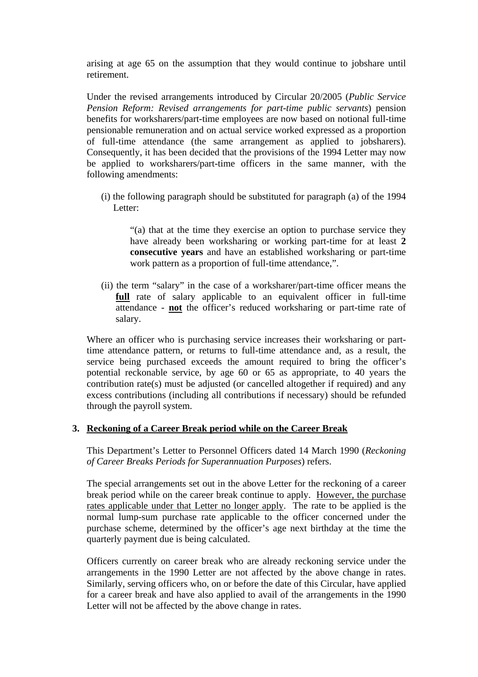arising at age 65 on the assumption that they would continue to jobshare until retirement.

Under the revised arrangements introduced by Circular 20/2005 (*Public Service Pension Reform: Revised arrangements for part-time public servants*) pension benefits for worksharers/part-time employees are now based on notional full-time pensionable remuneration and on actual service worked expressed as a proportion of full-time attendance (the same arrangement as applied to jobsharers). Consequently, it has been decided that the provisions of the 1994 Letter may now be applied to worksharers/part-time officers in the same manner, with the following amendments:

 (i) the following paragraph should be substituted for paragraph (a) of the 1994 Letter:

 "(a) that at the time they exercise an option to purchase service they have already been worksharing or working part-time for at least **2 consecutive years** and have an established worksharing or part-time work pattern as a proportion of full-time attendance,".

(ii) the term "salary" in the case of a worksharer/part-time officer means the **full** rate of salary applicable to an equivalent officer in full-time attendance - **not** the officer's reduced worksharing or part-time rate of salary.

Where an officer who is purchasing service increases their worksharing or parttime attendance pattern, or returns to full-time attendance and, as a result, the service being purchased exceeds the amount required to bring the officer's potential reckonable service, by age 60 or 65 as appropriate, to 40 years the contribution rate(s) must be adjusted (or cancelled altogether if required) and any excess contributions (including all contributions if necessary) should be refunded through the payroll system.

### **3. Reckoning of a Career Break period while on the Career Break**

This Department's Letter to Personnel Officers dated 14 March 1990 (*Reckoning of Career Breaks Periods for Superannuation Purposes*) refers.

The special arrangements set out in the above Letter for the reckoning of a career break period while on the career break continue to apply. However, the purchase rates applicable under that Letter no longer apply. The rate to be applied is the normal lump-sum purchase rate applicable to the officer concerned under the purchase scheme, determined by the officer's age next birthday at the time the quarterly payment due is being calculated.

Officers currently on career break who are already reckoning service under the arrangements in the 1990 Letter are not affected by the above change in rates. Similarly, serving officers who, on or before the date of this Circular, have applied for a career break and have also applied to avail of the arrangements in the 1990 Letter will not be affected by the above change in rates.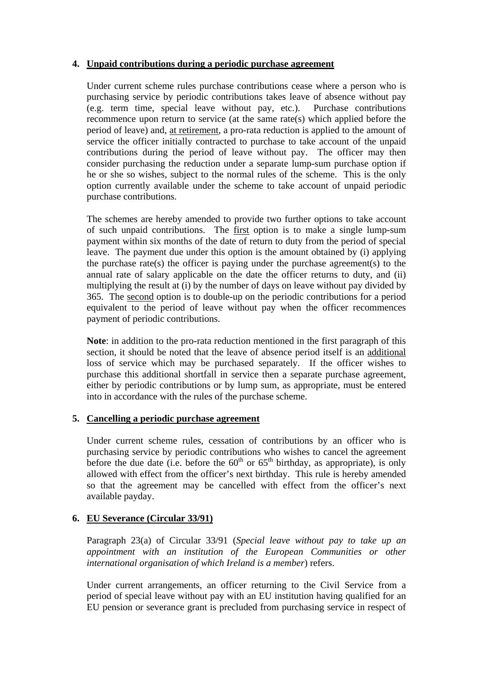## **4. Unpaid contributions during a periodic purchase agreement**

Under current scheme rules purchase contributions cease where a person who is purchasing service by periodic contributions takes leave of absence without pay (e.g. term time, special leave without pay, etc.). Purchase contributions recommence upon return to service (at the same rate(s) which applied before the period of leave) and, at retirement, a pro-rata reduction is applied to the amount of service the officer initially contracted to purchase to take account of the unpaid contributions during the period of leave without pay. The officer may then consider purchasing the reduction under a separate lump-sum purchase option if he or she so wishes, subject to the normal rules of the scheme. This is the only option currently available under the scheme to take account of unpaid periodic purchase contributions.

The schemes are hereby amended to provide two further options to take account of such unpaid contributions. The first option is to make a single lump-sum payment within six months of the date of return to duty from the period of special leave. The payment due under this option is the amount obtained by (i) applying the purchase rate(s) the officer is paying under the purchase agreement(s) to the annual rate of salary applicable on the date the officer returns to duty, and (ii) multiplying the result at (i) by the number of days on leave without pay divided by 365. The second option is to double-up on the periodic contributions for a period equivalent to the period of leave without pay when the officer recommences payment of periodic contributions.

**Note**: in addition to the pro-rata reduction mentioned in the first paragraph of this section, it should be noted that the leave of absence period itself is an additional loss of service which may be purchased separately. If the officer wishes to purchase this additional shortfall in service then a separate purchase agreement, either by periodic contributions or by lump sum, as appropriate, must be entered into in accordance with the rules of the purchase scheme.

## **5. Cancelling a periodic purchase agreement**

Under current scheme rules, cessation of contributions by an officer who is purchasing service by periodic contributions who wishes to cancel the agreement before the due date (i.e. before the  $60^{th}$  or  $65^{th}$  birthday, as appropriate), is only allowed with effect from the officer's next birthday. This rule is hereby amended so that the agreement may be cancelled with effect from the officer's next available payday.

## **6. EU Severance (Circular 33/91)**

Paragraph 23(a) of Circular 33/91 (*Special leave without pay to take up an appointment with an institution of the European Communities or other international organisation of which Ireland is a member*) refers.

Under current arrangements, an officer returning to the Civil Service from a period of special leave without pay with an EU institution having qualified for an EU pension or severance grant is precluded from purchasing service in respect of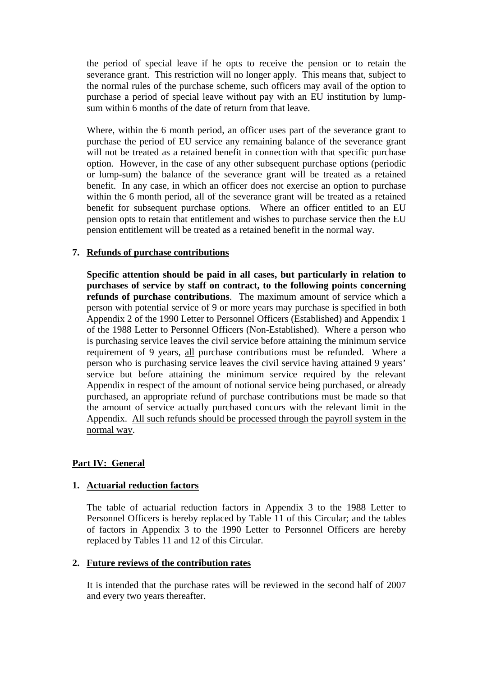the period of special leave if he opts to receive the pension or to retain the severance grant. This restriction will no longer apply. This means that, subject to the normal rules of the purchase scheme, such officers may avail of the option to purchase a period of special leave without pay with an EU institution by lumpsum within 6 months of the date of return from that leave.

Where, within the 6 month period, an officer uses part of the severance grant to purchase the period of EU service any remaining balance of the severance grant will not be treated as a retained benefit in connection with that specific purchase option. However, in the case of any other subsequent purchase options (periodic or lump-sum) the balance of the severance grant will be treated as a retained benefit. In any case, in which an officer does not exercise an option to purchase within the 6 month period, all of the severance grant will be treated as a retained benefit for subsequent purchase options. Where an officer entitled to an EU pension opts to retain that entitlement and wishes to purchase service then the EU pension entitlement will be treated as a retained benefit in the normal way.

## **7. Refunds of purchase contributions**

**Specific attention should be paid in all cases, but particularly in relation to purchases of service by staff on contract, to the following points concerning refunds of purchase contributions**. The maximum amount of service which a person with potential service of 9 or more years may purchase is specified in both Appendix 2 of the 1990 Letter to Personnel Officers (Established) and Appendix 1 of the 1988 Letter to Personnel Officers (Non-Established). Where a person who is purchasing service leaves the civil service before attaining the minimum service requirement of 9 years, all purchase contributions must be refunded. Where a person who is purchasing service leaves the civil service having attained 9 years' service but before attaining the minimum service required by the relevant Appendix in respect of the amount of notional service being purchased, or already purchased, an appropriate refund of purchase contributions must be made so that the amount of service actually purchased concurs with the relevant limit in the Appendix. All such refunds should be processed through the payroll system in the normal way.

## **Part IV: General**

### **1. Actuarial reduction factors**

The table of actuarial reduction factors in Appendix 3 to the 1988 Letter to Personnel Officers is hereby replaced by Table 11 of this Circular; and the tables of factors in Appendix 3 to the 1990 Letter to Personnel Officers are hereby replaced by Tables 11 and 12 of this Circular.

### **2. Future reviews of the contribution rates**

It is intended that the purchase rates will be reviewed in the second half of 2007 and every two years thereafter.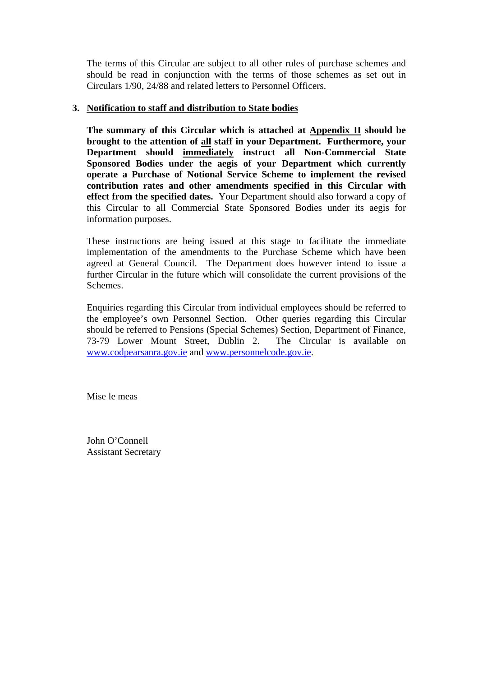The terms of this Circular are subject to all other rules of purchase schemes and should be read in conjunction with the terms of those schemes as set out in Circulars 1/90, 24/88 and related letters to Personnel Officers.

### **3. Notification to staff and distribution to State bodies**

**The summary of this Circular which is attached at Appendix II should be brought to the attention of all staff in your Department. Furthermore, your Department should immediately instruct all Non-Commercial State Sponsored Bodies under the aegis of your Department which currently operate a Purchase of Notional Service Scheme to implement the revised contribution rates and other amendments specified in this Circular with effect from the specified dates.** Your Department should also forward a copy of this Circular to all Commercial State Sponsored Bodies under its aegis for information purposes.

These instructions are being issued at this stage to facilitate the immediate implementation of the amendments to the Purchase Scheme which have been agreed at General Council. The Department does however intend to issue a further Circular in the future which will consolidate the current provisions of the Schemes.

Enquiries regarding this Circular from individual employees should be referred to the employee's own Personnel Section. Other queries regarding this Circular should be referred to Pensions (Special Schemes) Section, Department of Finance, 73-79 Lower Mount Street, Dublin 2. The Circular is available on www.codpearsanra.gov.ie and www.personnelcode.gov.ie.

Mise le meas

John O'Connell Assistant Secretary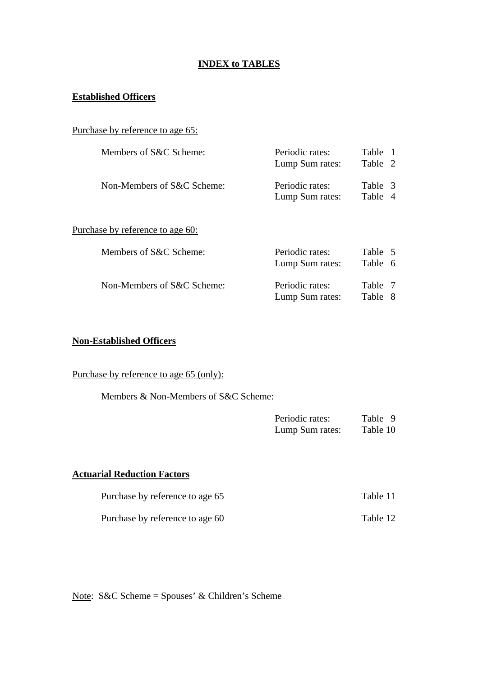## **INDEX to TABLES**

# **Established Officers**

| Purchase by reference to age 65: |  |  |  |
|----------------------------------|--|--|--|
|                                  |  |  |  |

| Members of S&C Scheme:     | Periodic rates:<br>Lump Sum rates: | Table 1<br>Table 2 |
|----------------------------|------------------------------------|--------------------|
| Non-Members of S&C Scheme: | Periodic rates:<br>Lump Sum rates: | Table 3<br>Table 4 |

# Purchase by reference to age 60:

| Members of S&C Scheme:     | Periodic rates:<br>Lump Sum rates: | Table 5<br>Table 6 |
|----------------------------|------------------------------------|--------------------|
| Non-Members of S&C Scheme: | Periodic rates:<br>Lump Sum rates: | Table 7<br>Table 8 |

## **Non-Established Officers**

Purchase by reference to age 65 (only):

Members & Non-Members of S&C Scheme:

| Periodic rates: | Table 9  |
|-----------------|----------|
| Lump Sum rates: | Table 10 |

### **Actuarial Reduction Factors**

| Purchase by reference to age 65 | Table 11 |
|---------------------------------|----------|
| Purchase by reference to age 60 | Table 12 |

Note: S&C Scheme = Spouses' & Children's Scheme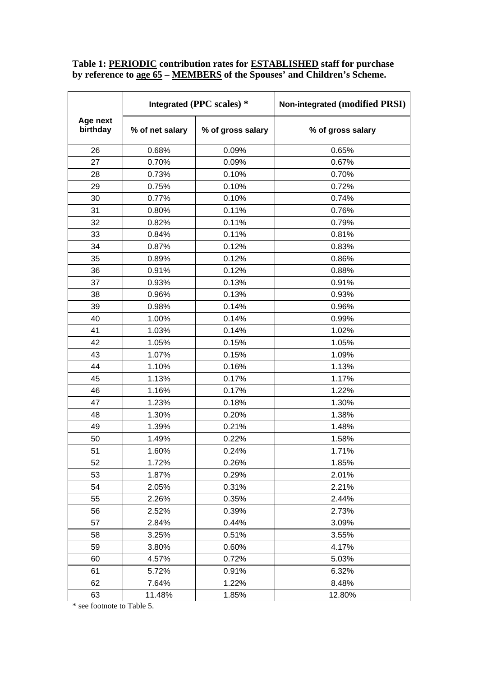### **Table 1: PERIODIC contribution rates for ESTABLISHED staff for purchase by reference to age 65 – MEMBERS of the Spouses' and Children's Scheme.**

|                      | Integrated (PPC scales) * |                   | Non-integrated (modified PRSI) |
|----------------------|---------------------------|-------------------|--------------------------------|
| Age next<br>birthday | % of net salary           | % of gross salary | % of gross salary              |
| 26                   | 0.68%                     | 0.09%             | 0.65%                          |
| 27                   | 0.70%                     | 0.09%             | 0.67%                          |
| 28                   | 0.73%                     | 0.10%             | 0.70%                          |
| 29                   | 0.75%                     | 0.10%             | 0.72%                          |
| 30                   | 0.77%                     | 0.10%             | 0.74%                          |
| 31                   | 0.80%                     | 0.11%             | 0.76%                          |
| 32                   | 0.82%                     | 0.11%             | 0.79%                          |
| 33                   | 0.84%                     | 0.11%             | 0.81%                          |
| 34                   | 0.87%                     | 0.12%             | 0.83%                          |
| 35                   | 0.89%                     | 0.12%             | 0.86%                          |
| 36                   | 0.91%                     | 0.12%             | 0.88%                          |
| 37                   | 0.93%                     | 0.13%             | 0.91%                          |
| 38                   | 0.96%                     | 0.13%             | 0.93%                          |
| 39                   | 0.98%                     | 0.14%             | 0.96%                          |
| 40                   | 1.00%                     | 0.14%             | 0.99%                          |
| 41                   | 1.03%                     | 0.14%             | 1.02%                          |
| 42                   | 1.05%                     | 0.15%             | 1.05%                          |
| 43                   | 1.07%                     | 0.15%             | 1.09%                          |
| 44                   | 1.10%                     | 0.16%             | 1.13%                          |
| 45                   | 1.13%                     | 0.17%             | 1.17%                          |
| 46                   | 1.16%                     | 0.17%             | 1.22%                          |
| 47                   | 1.23%                     | 0.18%             | 1.30%                          |
| 48                   | 1.30%                     | 0.20%             | 1.38%                          |
| 49                   | 1.39%                     | 0.21%             | 1.48%                          |
| 50                   | 1.49%                     | 0.22%             | 1.58%                          |
| 51                   | 1.60%                     | 0.24%             | 1.71%                          |
| 52                   | 1.72%                     | 0.26%             | 1.85%                          |
| 53                   | 1.87%                     | 0.29%             | 2.01%                          |
| 54                   | 2.05%                     | 0.31%             | 2.21%                          |
| 55                   | 2.26%                     | 0.35%             | 2.44%                          |
| 56                   | 2.52%                     | 0.39%             | 2.73%                          |
| 57                   | 2.84%                     | 0.44%             | 3.09%                          |
| 58                   | 3.25%                     | 0.51%             | 3.55%                          |
| 59                   | 3.80%                     | 0.60%             | 4.17%                          |
| 60                   | 4.57%                     | 0.72%             | 5.03%                          |
| 61                   | 5.72%                     | 0.91%             | 6.32%                          |
| 62                   | 7.64%                     | 1.22%             | 8.48%                          |
| 63                   | 11.48%                    | 1.85%             | 12.80%                         |

\* see footnote to Table 5.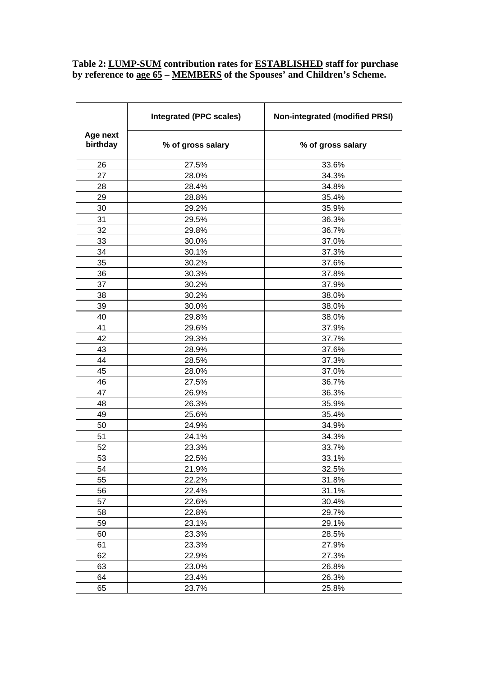## **Table 2: LUMP-SUM contribution rates for ESTABLISHED staff for purchase by reference to age 65 – MEMBERS of the Spouses' and Children's Scheme.**

|                      | <b>Integrated (PPC scales)</b> | <b>Non-integrated (modified PRSI)</b> |  |
|----------------------|--------------------------------|---------------------------------------|--|
| Age next<br>birthday | % of gross salary              | % of gross salary                     |  |
| 26                   | 27.5%                          | 33.6%                                 |  |
| 27                   | 28.0%                          | 34.3%                                 |  |
| 28                   | 28.4%                          | 34.8%                                 |  |
| 29                   | 28.8%                          | 35.4%                                 |  |
| 30                   | 29.2%                          | 35.9%                                 |  |
| 31                   | 29.5%                          | 36.3%                                 |  |
| 32                   | 29.8%                          | 36.7%                                 |  |
| 33                   | 30.0%                          | 37.0%                                 |  |
| 34                   | 30.1%                          | 37.3%                                 |  |
| 35                   | 30.2%                          | 37.6%                                 |  |
| 36                   | 30.3%                          | 37.8%                                 |  |
| 37                   | 30.2%                          | 37.9%                                 |  |
| 38                   | 30.2%                          | 38.0%                                 |  |
| 39                   | 30.0%                          | 38.0%                                 |  |
| 40                   | 29.8%                          | 38.0%                                 |  |
| 41                   | 29.6%                          | 37.9%                                 |  |
| 42                   | 29.3%                          | 37.7%                                 |  |
| 43                   | 28.9%                          | 37.6%                                 |  |
| 44                   | 28.5%                          | 37.3%                                 |  |
| 45                   | 28.0%                          | 37.0%                                 |  |
| 46                   | 27.5%                          | 36.7%                                 |  |
| 47                   | 26.9%                          | 36.3%                                 |  |
| 48                   | 26.3%                          | 35.9%                                 |  |
| 49                   | 25.6%                          | 35.4%                                 |  |
| 50                   | 24.9%                          | 34.9%                                 |  |
| 51                   | 24.1%                          | 34.3%                                 |  |
| 52                   | 23.3%                          | 33.7%                                 |  |
| 53                   | 22.5%                          | 33.1%                                 |  |
| 54                   | 21.9%                          | 32.5%                                 |  |
| 55                   | 22.2%                          | 31.8%                                 |  |
| 56                   | 22.4%                          | 31.1%                                 |  |
| 57                   | 22.6%                          | 30.4%                                 |  |
| 58                   | 22.8%                          | 29.7%                                 |  |
| 59                   | 23.1%                          | 29.1%                                 |  |
| 60                   | 23.3%                          | 28.5%                                 |  |
| 61                   | 23.3%                          | 27.9%                                 |  |
| 62                   | 22.9%<br>27.3%                 |                                       |  |
| 63                   | 23.0%<br>26.8%                 |                                       |  |
| 64                   | 23.4%<br>26.3%                 |                                       |  |
| 65                   | 23.7%                          | 25.8%                                 |  |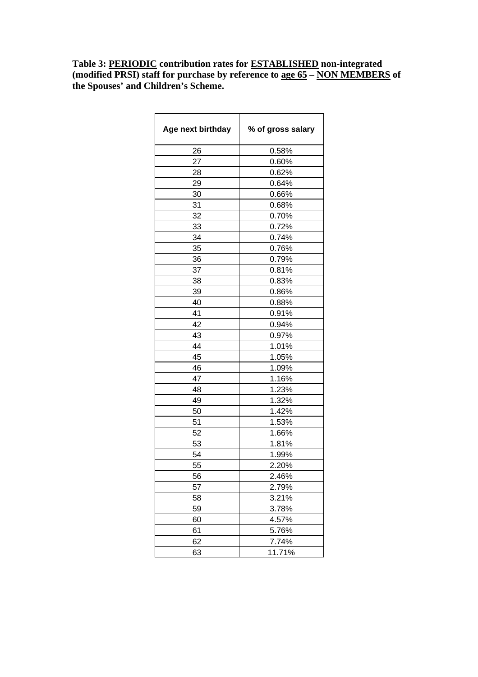## **Table 3: PERIODIC contribution rates for ESTABLISHED non-integrated (modified PRSI) staff for purchase by reference to age 65 – NON MEMBERS of the Spouses' and Children's Scheme.**

| Age next birthday | % of gross salary |  |
|-------------------|-------------------|--|
| 26                | 0.58%             |  |
| 27                | 0.60%             |  |
| 28                | 0.62%             |  |
| 29                | 0.64%             |  |
| 30                | 0.66%             |  |
| 31                | 0.68%             |  |
| 32                | 0.70%             |  |
| 33                | 0.72%             |  |
| 34                | 0.74%             |  |
| 35                | 0.76%             |  |
| 36                | 0.79%             |  |
| 37                | 0.81%             |  |
| 38                | 0.83%             |  |
| 39                | 0.86%             |  |
| 40                | 0.88%             |  |
| 41                | 0.91%             |  |
| 42                | 0.94%             |  |
| 43                | 0.97%             |  |
| 44                | 1.01%             |  |
| 45                | 1.05%             |  |
| 46                | 1.09%             |  |
| 47                | 1.16%             |  |
| 48                | 1.23%             |  |
| 49                | 1.32%             |  |
| 50                | 1.42%             |  |
| 51                | 1.53%             |  |
| 52                | 1.66%             |  |
| 53                | 1.81%             |  |
| 54                | 1.99%             |  |
| 55                | 2.20%             |  |
| 56                | 2.46%             |  |
| 57                | 2.79%             |  |
| 58                | 3.21%             |  |
| 59                | 3.78%             |  |
| 60                | 4.57%             |  |
| 61                | 5.76%             |  |
| 62                | 7.74%             |  |
| 63                | 11.71%            |  |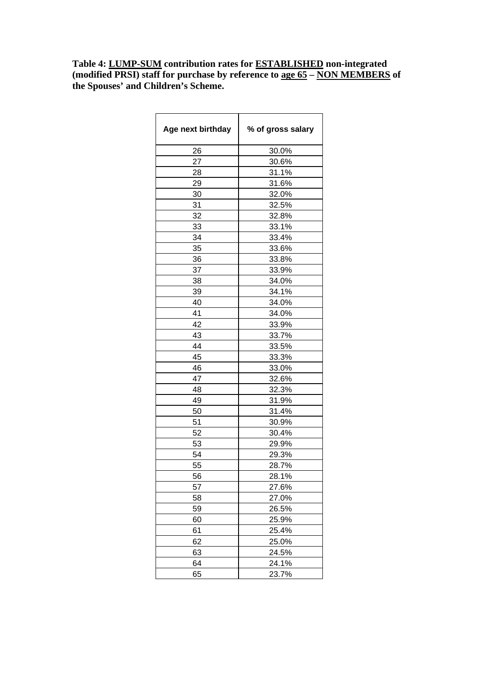**Table 4: LUMP-SUM contribution rates for ESTABLISHED non-integrated (modified PRSI) staff for purchase by reference to age 65 – NON MEMBERS of the Spouses' and Children's Scheme.** 

| Age next birthday | % of gross salary |
|-------------------|-------------------|
| 26                | 30.0%             |
| 27                | 30.6%             |
| 28                | 31.1%             |
| 29                | 31.6%             |
| 30                | 32.0%             |
| 31                | 32.5%             |
| 32                | 32.8%             |
| 33                | 33.1%             |
| 34                | 33.4%             |
| 35                | 33.6%             |
| 36                | 33.8%             |
| 37                | 33.9%             |
| 38                | 34.0%             |
| 39                | 34.1%             |
| 40                | 34.0%             |
| 41                | 34.0%             |
| 42                | 33.9%             |
| 43                | 33.7%             |
| 44                | 33.5%             |
| 45                | 33.3%             |
| 46                | 33.0%             |
| 47                | 32.6%             |
| 48                | 32.3%             |
| 49                | 31.9%             |
| 50                | 31.4%             |
| 51                | 30.9%             |
| 52                | 30.4%             |
| 53                | 29.9%             |
| 54                | 29.3%             |
| 55                | 28.7%             |
| 56                | 28.1%             |
| 57                | 27.6%             |
| 58                | 27.0%             |
| 59                | 26.5%             |
| 60                | 25.9%             |
| 61                | 25.4%             |
| 62                | 25.0%             |
| 63                | 24.5%             |
| 64                | 24.1%             |
| 65                | 23.7%             |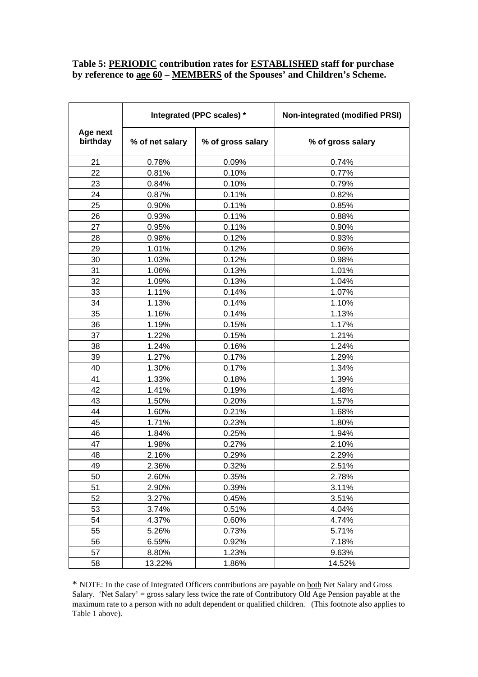### **Table 5: PERIODIC contribution rates for ESTABLISHED staff for purchase by reference to age 60 – MEMBERS of the Spouses' and Children's Scheme.**

|                      | Integrated (PPC scales) * |                   | <b>Non-integrated (modified PRSI)</b> |
|----------------------|---------------------------|-------------------|---------------------------------------|
| Age next<br>birthday | % of net salary           | % of gross salary | % of gross salary                     |
| 21                   | 0.78%                     | 0.09%             | 0.74%                                 |
| 22                   | 0.81%                     | 0.10%             | 0.77%                                 |
| 23                   | 0.84%                     | 0.10%             | 0.79%                                 |
| 24                   | 0.87%                     | 0.11%             | 0.82%                                 |
| 25                   | 0.90%                     | 0.11%             | 0.85%                                 |
| 26                   | 0.93%                     | 0.11%             | 0.88%                                 |
| 27                   | 0.95%                     | 0.11%             | 0.90%                                 |
| 28                   | 0.98%                     | 0.12%             | 0.93%                                 |
| 29                   | 1.01%                     | 0.12%             | 0.96%                                 |
| 30                   | 1.03%                     | 0.12%             | 0.98%                                 |
| 31                   | 1.06%                     | 0.13%             | 1.01%                                 |
| 32                   | 1.09%                     | 0.13%             | 1.04%                                 |
| 33                   | 1.11%                     | 0.14%             | 1.07%                                 |
| 34                   | 1.13%                     | 0.14%             | 1.10%                                 |
| 35                   | 1.16%                     | 0.14%             | 1.13%                                 |
| 36                   | 1.19%                     | 0.15%             | 1.17%                                 |
| 37                   | 1.22%                     | 0.15%             | 1.21%                                 |
| 38                   | 1.24%                     | 0.16%             | 1.24%                                 |
| 39                   | 1.27%                     | 0.17%             | 1.29%                                 |
| 40                   | 1.30%                     | 0.17%             | 1.34%                                 |
| 41                   | 1.33%                     | 0.18%             | 1.39%                                 |
| 42                   | 1.41%                     | 0.19%             | 1.48%                                 |
| 43                   | 1.50%                     | 0.20%             | 1.57%                                 |
| 44                   | 1.60%                     | 0.21%             | 1.68%                                 |
| 45                   | 1.71%                     | 0.23%             | 1.80%                                 |
| 46                   | 1.84%                     | 0.25%             | 1.94%                                 |
| 47                   | 1.98%                     | 0.27%             | 2.10%                                 |
| 48                   | 2.16%                     | 0.29%             | 2.29%                                 |
| 49                   | 2.36%                     | 0.32%             | 2.51%                                 |
| 50                   | 2.60%                     | 0.35%             | 2.78%                                 |
| 51                   | 2.90%                     | 0.39%             | 3.11%                                 |
| 52                   | 3.27%                     | 0.45%             | 3.51%                                 |
| 53                   | 3.74%                     | 0.51%             | 4.04%                                 |
| 54                   | 4.37%                     | 0.60%             | 4.74%                                 |
| 55                   | 5.26%                     | 0.73%             | 5.71%                                 |
| 56                   | 6.59%                     | 0.92%             | 7.18%                                 |
| 57                   | 8.80%                     | 1.23%             | 9.63%                                 |
| 58                   | 13.22%                    | 1.86%             | 14.52%                                |

\* NOTE: In the case of Integrated Officers contributions are payable on both Net Salary and Gross Salary. 'Net Salary' = gross salary less twice the rate of Contributory Old Age Pension payable at the maximum rate to a person with no adult dependent or qualified children. (This footnote also applies to Table 1 above).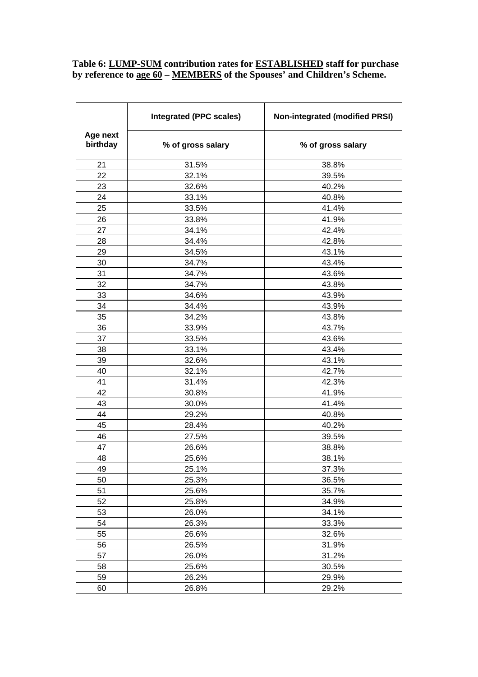### **Table 6: LUMP-SUM contribution rates for ESTABLISHED staff for purchase by reference to age 60 – MEMBERS of the Spouses' and Children's Scheme.**

|                      | <b>Integrated (PPC scales)</b> | <b>Non-integrated (modified PRSI)</b> |  |
|----------------------|--------------------------------|---------------------------------------|--|
| Age next<br>birthday | % of gross salary              | % of gross salary                     |  |
| 21                   | 31.5%                          | 38.8%                                 |  |
| 22                   | 32.1%                          | 39.5%                                 |  |
| 23                   | 32.6%                          | 40.2%                                 |  |
| 24                   | 33.1%                          | 40.8%                                 |  |
| 25                   | 33.5%                          | 41.4%                                 |  |
| 26                   | 33.8%                          | 41.9%                                 |  |
| 27                   | 34.1%                          | 42.4%                                 |  |
| 28                   | 34.4%                          | 42.8%                                 |  |
| 29                   | 34.5%                          | 43.1%                                 |  |
| 30                   | 34.7%                          | 43.4%                                 |  |
| 31                   | 34.7%                          | 43.6%                                 |  |
| 32                   | 34.7%                          | 43.8%                                 |  |
| 33                   | 34.6%                          | 43.9%                                 |  |
| 34                   | 34.4%                          | 43.9%                                 |  |
| 35                   | 34.2%                          | 43.8%                                 |  |
| 36                   | 33.9%                          | 43.7%                                 |  |
| 37                   | 33.5%                          | 43.6%                                 |  |
| 38                   | 33.1%                          | 43.4%                                 |  |
| 39                   | 32.6%                          | 43.1%                                 |  |
| 40                   | 32.1%                          | 42.7%                                 |  |
| 41                   | 31.4%                          | 42.3%                                 |  |
| 42                   | 30.8%                          | 41.9%                                 |  |
| 43                   | 30.0%                          | 41.4%                                 |  |
| 44                   | 29.2%                          | 40.8%                                 |  |
| 45                   | 28.4%                          | 40.2%                                 |  |
| 46                   | 27.5%                          | 39.5%                                 |  |
| 47                   | 26.6%                          | 38.8%                                 |  |
| 48                   | 25.6%                          | 38.1%                                 |  |
| 49                   | 25.1%                          | 37.3%                                 |  |
| 50                   | 25.3%                          | 36.5%                                 |  |
| 51                   | 25.6%                          | 35.7%                                 |  |
| 52                   | 25.8%                          | 34.9%                                 |  |
| 53                   | 26.0%                          | 34.1%                                 |  |
| 54                   | 26.3%                          | 33.3%                                 |  |
| 55                   | 26.6%                          | 32.6%                                 |  |
| 56                   | 26.5%<br>31.9%                 |                                       |  |
| 57                   | 26.0%                          | 31.2%                                 |  |
| 58                   | 25.6%<br>30.5%                 |                                       |  |
| 59                   | 26.2%                          | 29.9%                                 |  |
| 60                   | 26.8%                          | 29.2%                                 |  |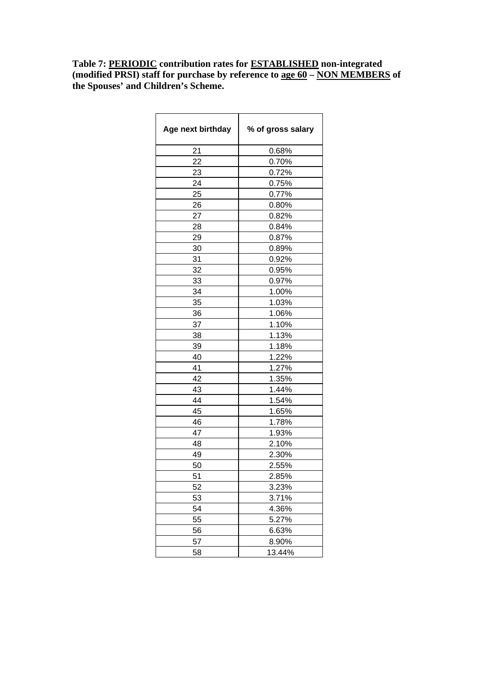**Table 7: PERIODIC contribution rates for ESTABLISHED non-integrated (modified PRSI) staff for purchase by reference to age 60 – NON MEMBERS of the Spouses' and Children's Scheme.** 

| Age next birthday | % of gross salary |
|-------------------|-------------------|
| 21                | 0.68%             |
| 22                | 0.70%             |
| 23                | 0.72%             |
| 24                | 0.75%             |
| 25                | 0.77%             |
| 26                | 0.80%             |
| 27                | 0.82%             |
| 28                | 0.84%             |
| 29                | 0.87%             |
| 30                | 0.89%             |
| 31                | 0.92%             |
| 32                | 0.95%             |
| 33                | 0.97%             |
| 34                | 1.00%             |
| 35                | 1.03%             |
| 36                | 1.06%             |
| 37                | 1.10%             |
| 38                | 1.13%             |
| 39                | 1.18%             |
| 40                | 1.22%             |
| 41                | 1.27%             |
| 42                | 1.35%             |
| 43                | 1.44%             |
| 44                | 1.54%             |
| 45                | 1.65%             |
| 46                | 1.78%             |
| 47                | 1.93%             |
| 48                | 2.10%             |
| 49                | 2.30%             |
| 50                | 2.55%             |
| 51                | 2.85%             |
| 52                | 3.23%             |
| 53                | 3.71%             |
| 54                | 4.36%             |
| 55                | 5.27%             |
| 56                | 6.63%             |
| 57                | 8.90%             |
| 58                | 13.44%            |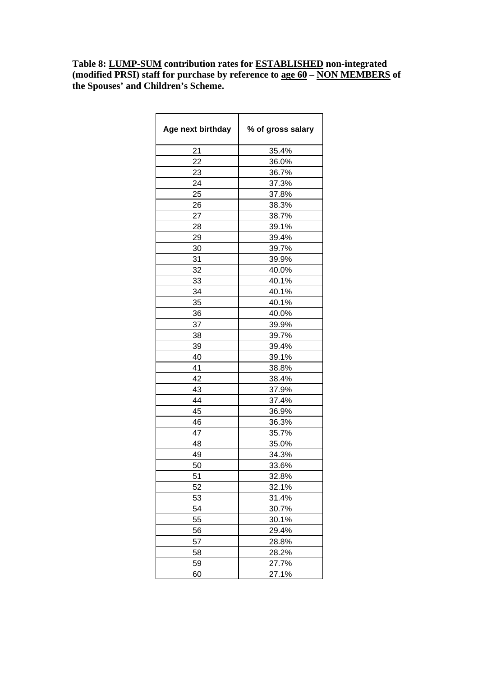**Table 8: LUMP-SUM contribution rates for ESTABLISHED non-integrated (modified PRSI) staff for purchase by reference to age 60 – NON MEMBERS of the Spouses' and Children's Scheme.** 

| Age next birthday | % of gross salary |
|-------------------|-------------------|
| 21                | 35.4%             |
| 22                | 36.0%             |
| 23                | 36.7%             |
| 24                | 37.3%             |
| 25                | 37.8%             |
| 26                | 38.3%             |
| 27                | 38.7%             |
| 28                | 39.1%             |
| 29                | 39.4%             |
| 30                | 39.7%             |
| 31                | 39.9%             |
| 32                | 40.0%             |
| 33                | 40.1%             |
| 34                | 40.1%             |
| 35                | 40.1%             |
| 36                | 40.0%             |
| 37                | 39.9%             |
| 38                | 39.7%             |
| 39                | 39.4%             |
| 40                | 39.1%             |
| 41                | 38.8%             |
| 42                | 38.4%             |
| 43                | 37.9%             |
| 44                | 37.4%             |
| 45                | 36.9%             |
| 46                | 36.3%             |
| 47                | 35.7%             |
| 48                | 35.0%             |
| 49                | 34.3%             |
| 50                | 33.6%             |
| 51                | 32.8%             |
| 52                | 32.1%             |
| 53                | 31.4%             |
| 54                | 30.7%             |
| 55                | 30.1%             |
| 56                | 29.4%             |
| 57                | 28.8%             |
| 58                | 28.2%             |
| 59                | 27.7%             |
| 60                | 27.1%             |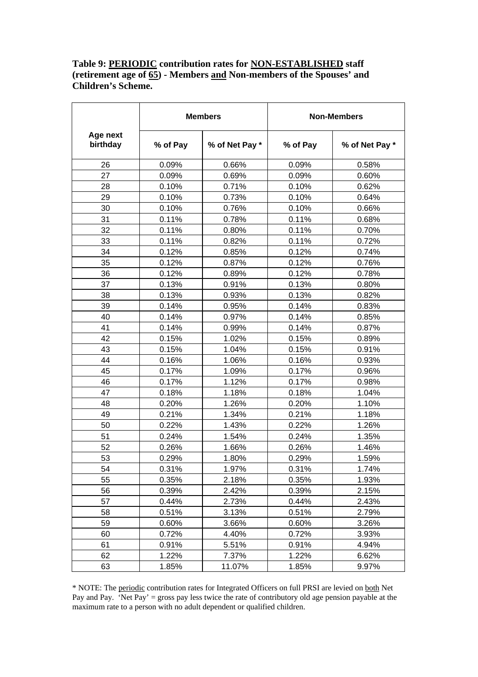## **Table 9: PERIODIC contribution rates for NON-ESTABLISHED staff (retirement age of 65) - Members and Non-members of the Spouses' and Children's Scheme.**

|                      | <b>Members</b> |                | <b>Non-Members</b> |                |
|----------------------|----------------|----------------|--------------------|----------------|
| Age next<br>birthday | % of Pay       | % of Net Pay * | % of Pay           | % of Net Pay * |
| 26                   | 0.09%          | 0.66%          | 0.09%              | 0.58%          |
| 27                   | 0.09%          | 0.69%          | 0.09%              | 0.60%          |
| 28                   | 0.10%          | 0.71%          | 0.10%              | 0.62%          |
| 29                   | 0.10%          | 0.73%          | 0.10%              | 0.64%          |
| 30                   | 0.10%          | 0.76%          | 0.10%              | 0.66%          |
| 31                   | 0.11%          | 0.78%          | 0.11%              | 0.68%          |
| 32                   | 0.11%          | 0.80%          | 0.11%              | 0.70%          |
| 33                   | 0.11%          | 0.82%          | 0.11%              | 0.72%          |
| 34                   | 0.12%          | 0.85%          | 0.12%              | 0.74%          |
| 35                   | 0.12%          | 0.87%          | 0.12%              | 0.76%          |
| 36                   | 0.12%          | 0.89%          | 0.12%              | 0.78%          |
| 37                   | 0.13%          | 0.91%          | 0.13%              | 0.80%          |
| 38                   | 0.13%          | 0.93%          | 0.13%              | 0.82%          |
| 39                   | 0.14%          | 0.95%          | 0.14%              | 0.83%          |
| 40                   | 0.14%          | 0.97%          | 0.14%              | 0.85%          |
| 41                   | 0.14%          | 0.99%          | 0.14%              | 0.87%          |
| 42                   | 0.15%          | 1.02%          | 0.15%              | 0.89%          |
| 43                   | 0.15%          | 1.04%          | 0.15%              | 0.91%          |
| 44                   | 0.16%          | 1.06%          | 0.16%              | 0.93%          |
| 45                   | 0.17%          | 1.09%          | 0.17%              | 0.96%          |
| 46                   | 0.17%          | 1.12%          | 0.17%              | 0.98%          |
| 47                   | 0.18%          | 1.18%          | 0.18%              | 1.04%          |
| 48                   | 0.20%          | 1.26%          | 0.20%              | 1.10%          |
| 49                   | 0.21%          | 1.34%          | 0.21%              | 1.18%          |
| 50                   | 0.22%          | 1.43%          | 0.22%              | 1.26%          |
| 51                   | 0.24%          | 1.54%          | 0.24%              | 1.35%          |
| 52                   | 0.26%          | 1.66%          | 0.26%              | 1.46%          |
| 53                   | 0.29%          | 1.80%          | 0.29%              | 1.59%          |
| 54                   | 0.31%          | 1.97%          | 0.31%              | 1.74%          |
| 55                   | 0.35%          | 2.18%          | 0.35%              | 1.93%          |
| 56                   | 0.39%          | 2.42%          | 0.39%              | 2.15%          |
| 57                   | 0.44%          | 2.73%          | 0.44%              | 2.43%          |
| 58                   | 0.51%          | 3.13%          | 0.51%              | 2.79%          |
| 59                   | 0.60%          | 3.66%          | 0.60%              | 3.26%          |
| 60                   | 0.72%          | 4.40%          | 0.72%              | 3.93%          |
| 61                   | 0.91%          | 5.51%          | 0.91%              | 4.94%          |
| 62                   | 1.22%          | 7.37%          | 1.22%              | 6.62%          |
| 63                   | 1.85%          | 11.07%         | 1.85%              | 9.97%          |

\* NOTE: The periodic contribution rates for Integrated Officers on full PRSI are levied on both Net Pay and Pay. 'Net Pay' = gross pay less twice the rate of contributory old age pension payable at the maximum rate to a person with no adult dependent or qualified children.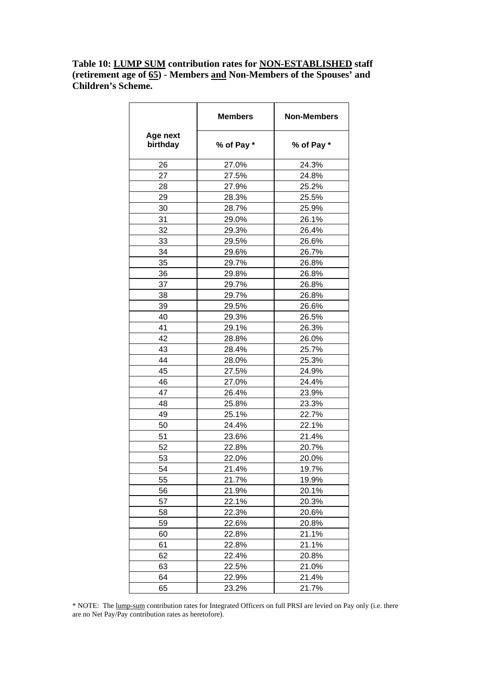## **Table 10: LUMP SUM contribution rates for NON-ESTABLISHED staff (retirement age of 65) - Members and Non-Members of the Spouses' and Children's Scheme.**

|                      | <b>Members</b> | <b>Non-Members</b> |
|----------------------|----------------|--------------------|
| Age next<br>birthday | % of Pay *     | % of Pay *         |
| 26                   | 27.0%          | 24.3%              |
| 27                   | 27.5%          | 24.8%              |
| 28                   | 27.9%          | 25.2%              |
| 29                   | 28.3%          | 25.5%              |
| 30                   | 28.7%          | 25.9%              |
| 31                   | 29.0%          | 26.1%              |
| 32                   | 29.3%          | 26.4%              |
| 33                   | 29.5%          | 26.6%              |
| 34                   | 29.6%          | 26.7%              |
| 35                   | 29.7%          | 26.8%              |
| 36                   | 29.8%          | 26.8%              |
| 37                   | 29.7%          | 26.8%              |
| 38                   | 29.7%          | 26.8%              |
| 39                   | 29.5%          | 26.6%              |
| 40                   | 29.3%          | 26.5%              |
| 41                   | 29.1%          | 26.3%              |
| 42                   | 28.8%          | 26.0%              |
| 43                   | 28.4%          | 25.7%              |
| 44                   | 28.0%          | 25.3%              |
| 45                   | 27.5%          | 24.9%              |
| 46                   | 27.0%          | 24.4%              |
| 47                   | 26.4%          | 23.9%              |
| 48                   | 25.8%          | 23.3%              |
| 49                   | 25.1%          | 22.7%              |
| 50                   | 24.4%          | 22.1%              |
| 51                   | 23.6%          | 21.4%              |
| 52                   | 22.8%          | 20.7%              |
| 53                   | 22.0%          | 20.0%              |
| 54                   | 21.4%          | 19.7%              |
| 55                   | 21.7%          | 19.9%              |
| 56                   | 21.9%          | 20.1%              |
| 57                   | 22.1%          | 20.3%              |
| 58                   | 22.3%          | 20.6%              |
| 59                   | 22.6%          | 20.8%              |
| 60                   | 22.8%          | 21.1%              |
| 61                   | 22.8%          | 21.1%              |
| 62                   | 22.4%          | 20.8%              |
| 63                   | 22.5%          | 21.0%              |
| 64                   | 22.9%          | 21.4%              |
| 65                   | 23.2%          | 21.7%              |

\* NOTE: The lump-sum contribution rates for Integrated Officers on full PRSI are levied on Pay only (i.e. there are no Net Pay/Pay contribution rates as heretofore).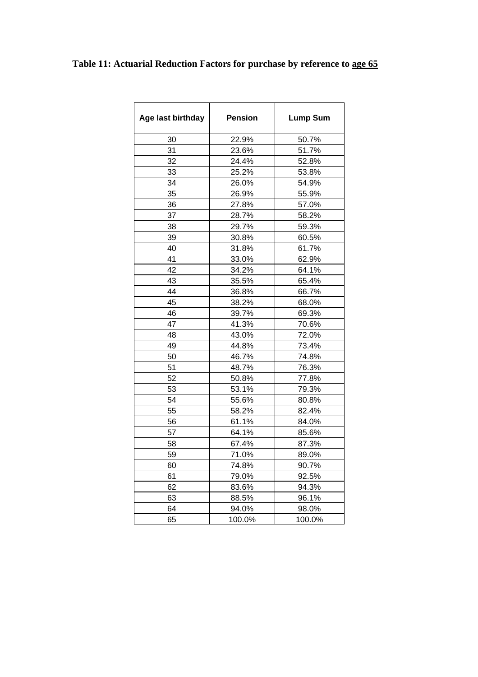# **Table 11: Actuarial Reduction Factors for purchase by reference to age 65**

| Age last birthday | <b>Pension</b> | <b>Lump Sum</b> |
|-------------------|----------------|-----------------|
| 30                | 22.9%          | 50.7%           |
| 31                | 23.6%          | 51.7%           |
| 32                | 24.4%          | 52.8%           |
| 33                | 25.2%          | 53.8%           |
| 34                | 26.0%          | 54.9%           |
| 35                | 26.9%          | 55.9%           |
| 36                | 27.8%          | 57.0%           |
| 37                | 28.7%          | 58.2%           |
| 38                | 29.7%          | 59.3%           |
| 39                | 30.8%          | 60.5%           |
| 40                | 31.8%          | 61.7%           |
| 41                | 33.0%          | 62.9%           |
| 42                | 34.2%          | 64.1%           |
| 43                | 35.5%          | 65.4%           |
| 44                | 36.8%          | 66.7%           |
| 45                | 38.2%          | 68.0%           |
| 46                | 39.7%          | 69.3%           |
| 47                | 41.3%          | 70.6%           |
| 48                | 43.0%          | 72.0%           |
| 49                | 44.8%          | 73.4%           |
| 50                | 46.7%          | 74.8%           |
| 51                | 48.7%          | 76.3%           |
| 52                | 50.8%          | 77.8%           |
| 53                | 53.1%          | 79.3%           |
| 54                | 55.6%          | 80.8%           |
| 55                | 58.2%          | 82.4%           |
| 56                | 61.1%          | 84.0%           |
| 57                | 64.1%          | 85.6%           |
| 58                | 67.4%          | 87.3%           |
| 59                | 71.0%          | 89.0%           |
| 60                | 74.8%          | 90.7%           |
| 61                | 79.0%          | 92.5%           |
| 62                | 83.6%          | 94.3%           |
| 63                | 88.5%          | 96.1%           |
| 64                | 94.0%          | 98.0%           |
| 65                | 100.0%         | 100.0%          |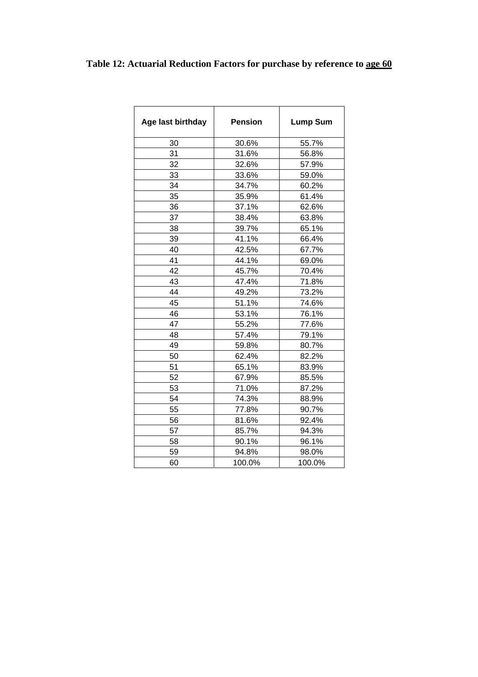# **Table 12: Actuarial Reduction Factors for purchase by reference to age 60**

| Age last birthday | <b>Pension</b> | <b>Lump Sum</b> |
|-------------------|----------------|-----------------|
| 30                | 30.6%          | 55.7%           |
| 31                | 31.6%          | 56.8%           |
| 32                | 32.6%          | 57.9%           |
| 33                | 33.6%          | 59.0%           |
| 34                | 34.7%          | 60.2%           |
| 35                | 35.9%          | 61.4%           |
| 36                | 37.1%          | 62.6%           |
| 37                | 38.4%          | 63.8%           |
| 38                | 39.7%          | 65.1%           |
| 39                | 41.1%          | 66.4%           |
| 40                | 42.5%          | 67.7%           |
| 41                | 44.1%          | 69.0%           |
| 42                | 45.7%          | 70.4%           |
| 43                | 47.4%          | 71.8%           |
| 44                | 49.2%          | 73.2%           |
| 45                | 51.1%          | 74.6%           |
| 46                | 53.1%          | 76.1%           |
| 47                | 55.2%          | 77.6%           |
| 48                | 57.4%          | 79.1%           |
| 49                | 59.8%          | 80.7%           |
| 50                | 62.4%          | 82.2%           |
| 51                | 65.1%          | 83.9%           |
| 52                | 67.9%          | 85.5%           |
| 53                | 71.0%          | 87.2%           |
| 54                | 74.3%          | 88.9%           |
| 55                | 77.8%          | 90.7%           |
| 56                | 81.6%          | 92.4%           |
| 57                | 85.7%          | 94.3%           |
| 58                | 90.1%          | 96.1%           |
| 59                | 94.8%          | 98.0%           |
| 60                | 100.0%         | 100.0%          |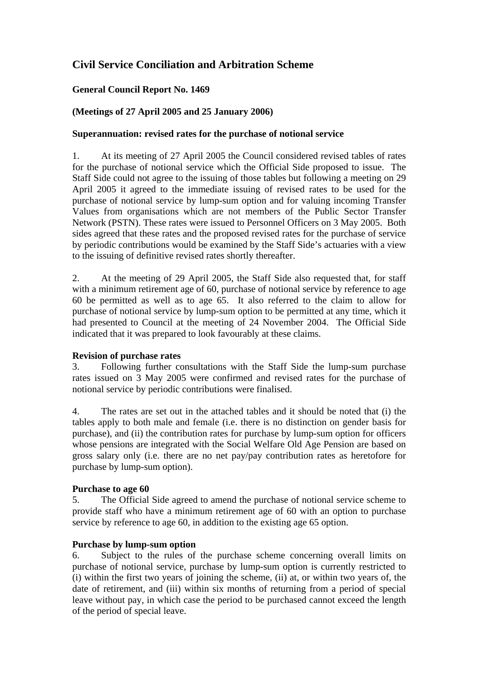# **Civil Service Conciliation and Arbitration Scheme**

## **General Council Report No. 1469**

## **(Meetings of 27 April 2005 and 25 January 2006)**

## **Superannuation: revised rates for the purchase of notional service**

1. At its meeting of 27 April 2005 the Council considered revised tables of rates for the purchase of notional service which the Official Side proposed to issue. The Staff Side could not agree to the issuing of those tables but following a meeting on 29 April 2005 it agreed to the immediate issuing of revised rates to be used for the purchase of notional service by lump-sum option and for valuing incoming Transfer Values from organisations which are not members of the Public Sector Transfer Network (PSTN). These rates were issued to Personnel Officers on 3 May 2005. Both sides agreed that these rates and the proposed revised rates for the purchase of service by periodic contributions would be examined by the Staff Side's actuaries with a view to the issuing of definitive revised rates shortly thereafter.

2. At the meeting of 29 April 2005, the Staff Side also requested that, for staff with a minimum retirement age of 60, purchase of notional service by reference to age 60 be permitted as well as to age 65. It also referred to the claim to allow for purchase of notional service by lump-sum option to be permitted at any time, which it had presented to Council at the meeting of 24 November 2004. The Official Side indicated that it was prepared to look favourably at these claims.

### **Revision of purchase rates**

3. Following further consultations with the Staff Side the lump-sum purchase rates issued on 3 May 2005 were confirmed and revised rates for the purchase of notional service by periodic contributions were finalised.

4. The rates are set out in the attached tables and it should be noted that (i) the tables apply to both male and female (i.e. there is no distinction on gender basis for purchase), and (ii) the contribution rates for purchase by lump-sum option for officers whose pensions are integrated with the Social Welfare Old Age Pension are based on gross salary only (i.e. there are no net pay/pay contribution rates as heretofore for purchase by lump-sum option).

### **Purchase to age 60**

5. The Official Side agreed to amend the purchase of notional service scheme to provide staff who have a minimum retirement age of 60 with an option to purchase service by reference to age 60, in addition to the existing age 65 option.

### **Purchase by lump-sum option**

6. Subject to the rules of the purchase scheme concerning overall limits on purchase of notional service, purchase by lump-sum option is currently restricted to (i) within the first two years of joining the scheme, (ii) at, or within two years of, the date of retirement, and (iii) within six months of returning from a period of special leave without pay, in which case the period to be purchased cannot exceed the length of the period of special leave.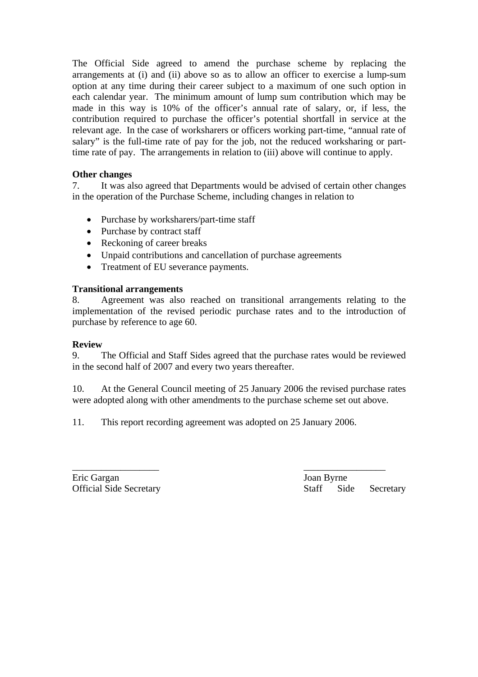The Official Side agreed to amend the purchase scheme by replacing the arrangements at (i) and (ii) above so as to allow an officer to exercise a lump-sum option at any time during their career subject to a maximum of one such option in each calendar year. The minimum amount of lump sum contribution which may be made in this way is 10% of the officer's annual rate of salary, or, if less, the contribution required to purchase the officer's potential shortfall in service at the relevant age. In the case of worksharers or officers working part-time, "annual rate of salary" is the full-time rate of pay for the job, not the reduced worksharing or parttime rate of pay. The arrangements in relation to (iii) above will continue to apply.

# **Other changes**

7. It was also agreed that Departments would be advised of certain other changes in the operation of the Purchase Scheme, including changes in relation to

- Purchase by worksharers/part-time staff
- Purchase by contract staff
- Reckoning of career breaks
- Unpaid contributions and cancellation of purchase agreements
- Treatment of EU severance payments.

## **Transitional arrangements**

8. Agreement was also reached on transitional arrangements relating to the implementation of the revised periodic purchase rates and to the introduction of purchase by reference to age 60.

## **Review**

9. The Official and Staff Sides agreed that the purchase rates would be reviewed in the second half of 2007 and every two years thereafter.

10. At the General Council meeting of 25 January 2006 the revised purchase rates were adopted along with other amendments to the purchase scheme set out above.

11. This report recording agreement was adopted on 25 January 2006.

 $\overline{\phantom{a}}$  , and the contract of the contract of the contract of the contract of the contract of the contract of the contract of the contract of the contract of the contract of the contract of the contract of the contrac Eric Gargan Joan Byrne

Official Side Secretary Staff Side Secretary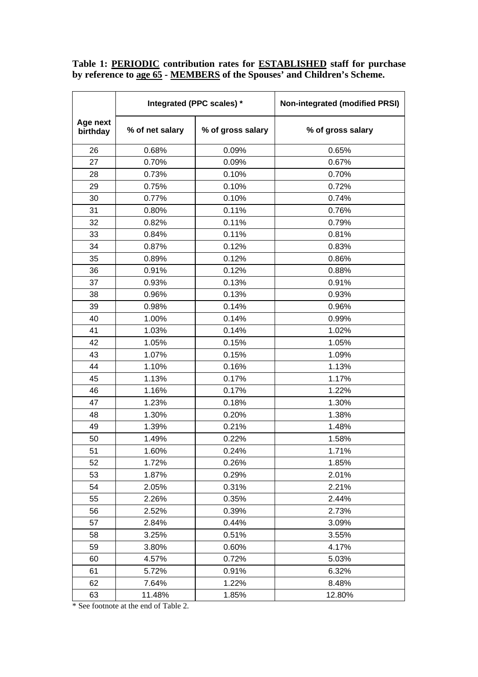**Table 1: PERIODIC contribution rates for ESTABLISHED staff for purchase by reference to age 65 - MEMBERS of the Spouses' and Children's Scheme.**

|                      | Integrated (PPC scales) * |                   | <b>Non-integrated (modified PRSI)</b> |
|----------------------|---------------------------|-------------------|---------------------------------------|
| Age next<br>birthday | % of net salary           | % of gross salary | % of gross salary                     |
| 26                   | 0.68%                     | 0.09%             | 0.65%                                 |
| 27                   | 0.70%                     | 0.09%             | 0.67%                                 |
| 28                   | 0.73%                     | 0.10%             | 0.70%                                 |
| 29                   | 0.75%                     | 0.10%             | 0.72%                                 |
| 30                   | 0.77%                     | 0.10%             | 0.74%                                 |
| 31                   | 0.80%                     | 0.11%             | 0.76%                                 |
| 32                   | 0.82%                     | 0.11%             | 0.79%                                 |
| 33                   | 0.84%                     | 0.11%             | 0.81%                                 |
| 34                   | 0.87%                     | 0.12%             | 0.83%                                 |
| 35                   | 0.89%                     | 0.12%             | 0.86%                                 |
| 36                   | 0.91%                     | 0.12%             | 0.88%                                 |
| 37                   | 0.93%                     | 0.13%             | 0.91%                                 |
| 38                   | 0.96%                     | 0.13%             | 0.93%                                 |
| 39                   | 0.98%                     | 0.14%             | 0.96%                                 |
| 40                   | 1.00%                     | 0.14%             | 0.99%                                 |
| 41                   | 1.03%                     | 0.14%             | 1.02%                                 |
| 42                   | 1.05%                     | 0.15%             | 1.05%                                 |
| 43                   | 1.07%                     | 0.15%             | 1.09%                                 |
| 44                   | 1.10%                     | 0.16%             | 1.13%                                 |
| 45                   | 1.13%                     | 0.17%             | 1.17%                                 |
| 46                   | 1.16%                     | 0.17%             | 1.22%                                 |
| 47                   | 1.23%                     | 0.18%             | 1.30%                                 |
| 48                   | 1.30%                     | 0.20%             | 1.38%                                 |
| 49                   | 1.39%                     | 0.21%             | 1.48%                                 |
| 50                   | 1.49%                     | 0.22%             | 1.58%                                 |
| 51                   | 1.60%                     | 0.24%             | 1.71%                                 |
| 52                   | 1.72%                     | 0.26%             | 1.85%                                 |
| 53                   | 1.87%                     | 0.29%             | 2.01%                                 |
| 54                   | 2.05%                     | 0.31%             | 2.21%                                 |
| 55                   | 2.26%                     | 0.35%             | 2.44%                                 |
| 56                   | 2.52%                     | 0.39%             | 2.73%                                 |
| 57                   | 2.84%                     | 0.44%             | 3.09%                                 |
| 58                   | 3.25%                     | 0.51%             | 3.55%                                 |
| 59                   | 3.80%                     | 0.60%             | 4.17%                                 |
| 60                   | 4.57%                     | 0.72%             | 5.03%                                 |
| 61                   | 5.72%                     | 0.91%             | 6.32%                                 |
| 62                   | 7.64%                     | 1.22%             | 8.48%                                 |
| 63                   | 11.48%                    | 1.85%             | 12.80%                                |

\* See footnote at the end of Table 2.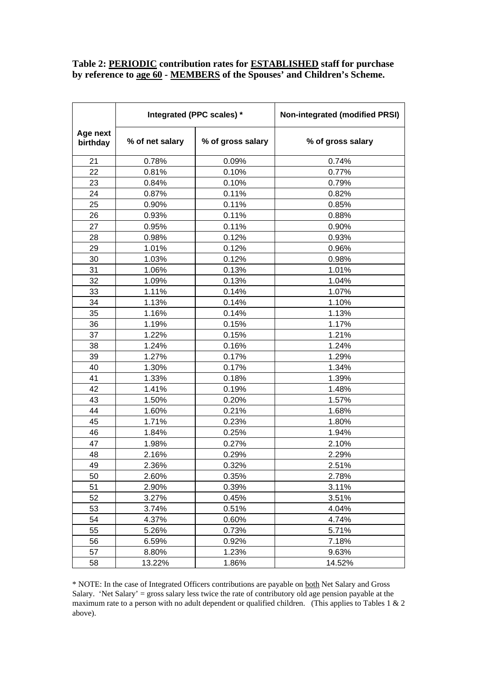## **Table 2: PERIODIC contribution rates for ESTABLISHED staff for purchase by reference to age 60 - MEMBERS of the Spouses' and Children's Scheme.**

|                      | Integrated (PPC scales) * |                   | <b>Non-integrated (modified PRSI)</b> |
|----------------------|---------------------------|-------------------|---------------------------------------|
| Age next<br>birthday | % of net salary           | % of gross salary | % of gross salary                     |
| 21                   | 0.78%                     | 0.09%             | 0.74%                                 |
| 22                   | 0.81%                     | 0.10%             | 0.77%                                 |
| 23                   | 0.84%                     | 0.10%             | 0.79%                                 |
| 24                   | 0.87%                     | 0.11%             | 0.82%                                 |
| 25                   | 0.90%                     | 0.11%             | 0.85%                                 |
| 26                   | 0.93%                     | 0.11%             | 0.88%                                 |
| 27                   | 0.95%                     | 0.11%             | 0.90%                                 |
| 28                   | 0.98%                     | 0.12%             | 0.93%                                 |
| 29                   | 1.01%                     | 0.12%             | 0.96%                                 |
| 30                   | 1.03%                     | 0.12%             | 0.98%                                 |
| 31                   | 1.06%                     | 0.13%             | 1.01%                                 |
| 32                   | 1.09%                     | 0.13%             | 1.04%                                 |
| 33                   | 1.11%                     | 0.14%             | 1.07%                                 |
| 34                   | 1.13%                     | 0.14%             | 1.10%                                 |
| 35                   | 1.16%                     | 0.14%             | 1.13%                                 |
| 36                   | 1.19%                     | 0.15%             | 1.17%                                 |
| 37                   | 1.22%                     | 0.15%             | 1.21%                                 |
| 38                   | 1.24%                     | 0.16%             | 1.24%                                 |
| 39                   | 1.27%                     | 0.17%             | 1.29%                                 |
| 40                   | 1.30%                     | 0.17%             | 1.34%                                 |
| 41                   | 1.33%                     | 0.18%             | 1.39%                                 |
| 42                   | 1.41%                     | 0.19%             | 1.48%                                 |
| 43                   | 1.50%                     | 0.20%             | 1.57%                                 |
| 44                   | 1.60%                     | 0.21%             | 1.68%                                 |
| 45                   | 1.71%                     | 0.23%             | 1.80%                                 |
| 46                   | 1.84%                     | 0.25%             | 1.94%                                 |
| 47                   | 1.98%                     | 0.27%             | 2.10%                                 |
| 48                   | 2.16%                     | 0.29%             | 2.29%                                 |
| 49                   | 2.36%                     | 0.32%             | 2.51%                                 |
| 50                   | 2.60%                     | 0.35%             | 2.78%                                 |
| 51                   | 2.90%                     | 0.39%             | 3.11%                                 |
| 52                   | 3.27%                     | 0.45%             | 3.51%                                 |
| 53                   | 3.74%                     | 0.51%             | 4.04%                                 |
| 54                   | 4.37%                     | 0.60%             | 4.74%                                 |
| 55                   | 5.26%                     | 0.73%             | 5.71%                                 |
| 56                   | 6.59%                     | 0.92%             | 7.18%                                 |
| 57                   | 8.80%                     | 1.23%             | 9.63%                                 |
| 58                   | 13.22%                    | 1.86%             | 14.52%                                |

\* NOTE: In the case of Integrated Officers contributions are payable on both Net Salary and Gross Salary. 'Net Salary' = gross salary less twice the rate of contributory old age pension payable at the maximum rate to a person with no adult dependent or qualified children. (This applies to Tables 1  $\&$  2 above).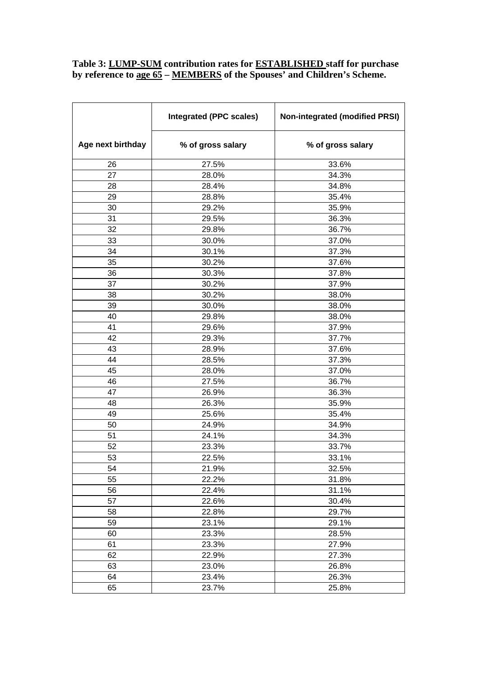### **Table 3: LUMP-SUM contribution rates for ESTABLISHED staff for purchase by reference to age 65 – MEMBERS of the Spouses' and Children's Scheme.**

|                   | <b>Integrated (PPC scales)</b> | <b>Non-integrated (modified PRSI)</b> |
|-------------------|--------------------------------|---------------------------------------|
| Age next birthday | % of gross salary              | % of gross salary                     |
| 26                | 27.5%                          | 33.6%                                 |
| 27                | 28.0%                          | 34.3%                                 |
| 28                | 28.4%                          | 34.8%                                 |
| 29                | 28.8%                          | 35.4%                                 |
| 30                | 29.2%                          | 35.9%                                 |
| 31                | 29.5%                          | 36.3%                                 |
| 32                | 29.8%                          | 36.7%                                 |
| 33                | 30.0%                          | 37.0%                                 |
| 34                | 30.1%                          | 37.3%                                 |
| 35                | 30.2%                          | 37.6%                                 |
| 36                | 30.3%                          | 37.8%                                 |
| 37                | 30.2%                          | 37.9%                                 |
| 38                | 30.2%                          | 38.0%                                 |
| 39                | 30.0%                          | 38.0%                                 |
| 40                | 29.8%                          | 38.0%                                 |
| 41                | 29.6%                          | 37.9%                                 |
| 42                | 29.3%                          | 37.7%                                 |
| 43                | 28.9%                          | 37.6%                                 |
| 44                | 28.5%                          | 37.3%                                 |
| 45                | 28.0%                          | 37.0%                                 |
| 46                | 27.5%                          | 36.7%                                 |
| 47                | 26.9%                          | 36.3%                                 |
| 48                | 26.3%                          | 35.9%                                 |
| 49                | 25.6%                          | 35.4%                                 |
| 50                | 24.9%                          | 34.9%                                 |
| 51                | 24.1%                          | 34.3%                                 |
| 52                | 23.3%                          | 33.7%                                 |
| 53                | 22.5%                          | 33.1%                                 |
| 54                | 21.9%                          | 32.5%                                 |
| 55                | 22.2%                          | 31.8%                                 |
| 56                | 22.4%                          | 31.1%                                 |
| 57                | 22.6%                          | 30.4%                                 |
| 58                | 22.8%                          | 29.7%                                 |
| 59                | 23.1%                          | 29.1%                                 |
| 60                | 23.3%                          | 28.5%                                 |
| 61                | 23.3%                          | 27.9%                                 |
| 62                | 22.9%                          | 27.3%                                 |
| 63                | 23.0%                          | 26.8%                                 |
| 64                | 23.4%                          | 26.3%                                 |
| 65                | 23.7%                          | 25.8%                                 |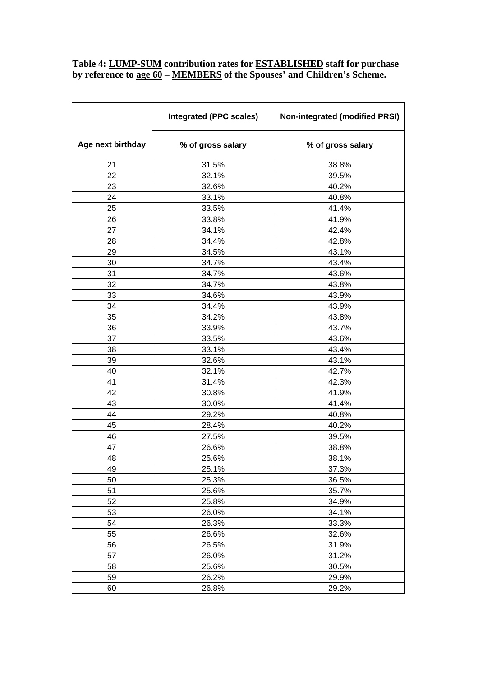### **Table 4: LUMP-SUM contribution rates for ESTABLISHED staff for purchase by reference to age 60 – MEMBERS of the Spouses' and Children's Scheme.**

|                   | <b>Integrated (PPC scales)</b> | <b>Non-integrated (modified PRSI)</b> |
|-------------------|--------------------------------|---------------------------------------|
| Age next birthday | % of gross salary              | % of gross salary                     |
| 21                | 31.5%                          | 38.8%                                 |
| 22                | 32.1%                          | 39.5%                                 |
| 23                | 32.6%                          | 40.2%                                 |
| 24                | 33.1%                          | 40.8%                                 |
| 25                | 33.5%                          | 41.4%                                 |
| 26                | 33.8%                          | 41.9%                                 |
| 27                | 34.1%                          | 42.4%                                 |
| 28                | 34.4%                          | 42.8%                                 |
| 29                | 34.5%                          | 43.1%                                 |
| 30                | 34.7%                          | 43.4%                                 |
| 31                | 34.7%                          | 43.6%                                 |
| 32                | 34.7%                          | 43.8%                                 |
| 33                | 34.6%                          | 43.9%                                 |
| 34                | 34.4%                          | 43.9%                                 |
| 35                | 34.2%                          | 43.8%                                 |
| 36                | 33.9%                          | 43.7%                                 |
| 37                | 33.5%                          | 43.6%                                 |
| 38                | 33.1%                          | 43.4%                                 |
| 39                | 32.6%                          | 43.1%                                 |
| 40                | 32.1%                          | 42.7%                                 |
| 41                | 31.4%                          | 42.3%                                 |
| 42                | 30.8%                          | 41.9%                                 |
| 43                | 30.0%                          | 41.4%                                 |
| 44                | 29.2%                          | 40.8%                                 |
| 45                | 28.4%                          | 40.2%                                 |
| 46                | 27.5%                          | 39.5%                                 |
| 47                | 26.6%                          | 38.8%                                 |
| 48                | 25.6%                          | 38.1%                                 |
| 49                | 25.1%                          | 37.3%                                 |
| 50                | 25.3%                          | 36.5%                                 |
| 51                | 25.6%                          | 35.7%                                 |
| 52                | 25.8%                          | 34.9%                                 |
| 53                | 26.0%                          | 34.1%                                 |
| 54                | 26.3%                          | 33.3%                                 |
| 55                | 26.6%                          | 32.6%                                 |
| 56                | 26.5%                          | 31.9%                                 |
| 57                | 26.0%                          | 31.2%                                 |
| 58                | 25.6%                          | 30.5%                                 |
| 59                | 26.2%                          | 29.9%                                 |
| 60                | 26.8%                          | 29.2%                                 |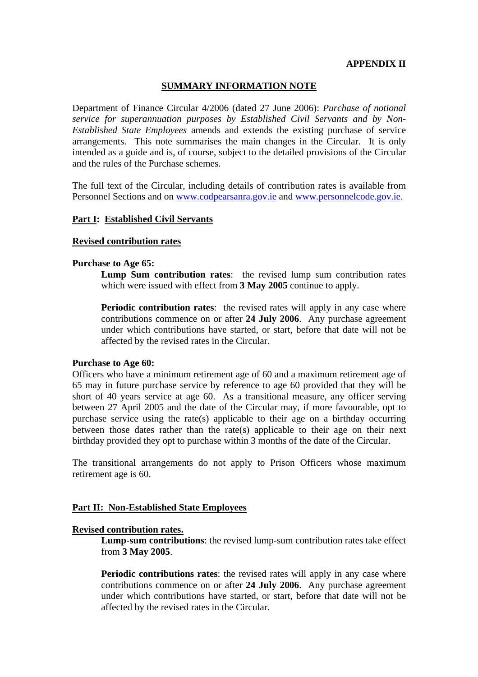### **APPENDIX II**

### **SUMMARY INFORMATION NOTE**

Department of Finance Circular 4/2006 (dated 27 June 2006): *Purchase of notional service for superannuation purposes by Established Civil Servants and by Non-Established State Employees* amends and extends the existing purchase of service arrangements. This note summarises the main changes in the Circular. It is only intended as a guide and is, of course, subject to the detailed provisions of the Circular and the rules of the Purchase schemes.

The full text of the Circular, including details of contribution rates is available from Personnel Sections and on www.codpearsanra.gov.ie and www.personnelcode.gov.ie.

### **Part I: Established Civil Servants**

### **Revised contribution rates**

### **Purchase to Age 65:**

**Lump Sum contribution rates**: the revised lump sum contribution rates which were issued with effect from **3 May 2005** continue to apply.

**Periodic contribution rates:** the revised rates will apply in any case where contributions commence on or after **24 July 2006**. Any purchase agreement under which contributions have started, or start, before that date will not be affected by the revised rates in the Circular.

### **Purchase to Age 60:**

Officers who have a minimum retirement age of 60 and a maximum retirement age of 65 may in future purchase service by reference to age 60 provided that they will be short of 40 years service at age 60. As a transitional measure, any officer serving between 27 April 2005 and the date of the Circular may, if more favourable, opt to purchase service using the rate(s) applicable to their age on a birthday occurring between those dates rather than the rate(s) applicable to their age on their next birthday provided they opt to purchase within 3 months of the date of the Circular.

The transitional arrangements do not apply to Prison Officers whose maximum retirement age is 60.

### **Part II: Non-Established State Employees**

### **Revised contribution rates.**

**Lump-sum contributions**: the revised lump-sum contribution rates take effect from **3 May 2005**.

**Periodic contributions rates**: the revised rates will apply in any case where contributions commence on or after **24 July 2006**. Any purchase agreement under which contributions have started, or start, before that date will not be affected by the revised rates in the Circular.